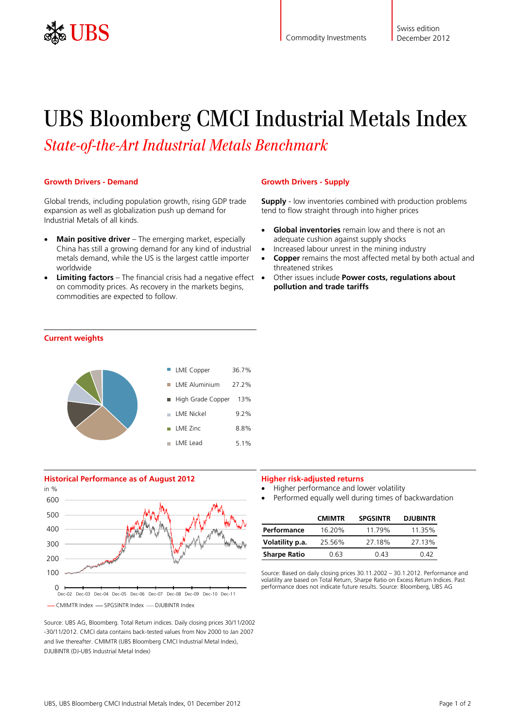

# UBS Bloomberg CMCI Industrial Metals Index

*State-of-the-Art Industrial Metals Benchmark*

## **Growth Drivers - Demand**

Global trends, including population growth, rising GDP trade expansion as well as globalization push up demand for Industrial Metals of all kinds.

- **Main positive driver** The emerging market, especially China has still a growing demand for any kind of industrial metals demand, while the US is the largest cattle importer worldwide
- **Limiting factors** The financial crisis had a negative effect on commodity prices. As recovery in the markets begins, commodities are expected to follow.

## **Growth Drivers - Supply**

**Supply** - low inventories combined with production problems tend to flow straight through into higher prices

- **Global inventories** remain low and there is not an adequate cushion against supply shocks
- Increased labour unrest in the mining industry
- **Copper** remains the most affected metal by both actual and threatened strikes
- Other issues include **Power costs, regulations about pollution and trade tariffs**

## **Current weights**



#### **Historical Performance as of August 2012**



Source: UBS AG, Bloomberg. Total Return indices. Daily closing prices 30/11/2002 -30/11/2012. CMCI data contains back-tested values from Nov 2000 to Jan 2007 and live thereafter. CMIMTR (UBS Bloomberg CMCI Industrial Metal Index), DJUBINTR (DJ-UBS Industrial Metal Index)

#### **Higher risk-adjusted returns**

- Higher performance and lower volatility
- Performed equally well during times of backwardation

|                     | <b>CMIMTR</b> | <b>SPGSINTR</b> | <b>DJUBINTR</b> |
|---------------------|---------------|-----------------|-----------------|
| Performance         | 16.20%        | 11.79%          | 11 35%          |
| Volatility p.a.     | 25.56%        | 27.18%          | 27.13%          |
| <b>Sharpe Ratio</b> | በ 63          | በ 43            | በ 42            |

Source: Based on daily closing prices 30.11.2002 – 30.1.2012. Performance and volatility are based on Total Return, Sharpe Ratio on Excess Return Indices. Past performance does not indicate future results. Source: Bloomberg, UBS AG